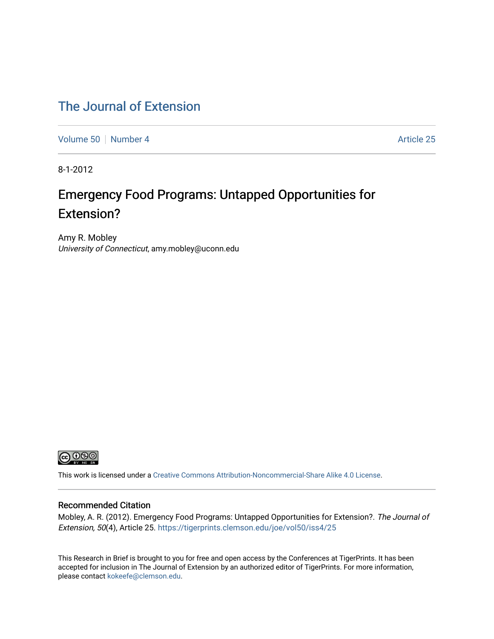# [The Journal of Extension](https://tigerprints.clemson.edu/joe)

[Volume 50](https://tigerprints.clemson.edu/joe/vol50) [Number 4](https://tigerprints.clemson.edu/joe/vol50/iss4) Article 25

8-1-2012

# Emergency Food Programs: Untapped Opportunities for Extension?

Amy R. Mobley University of Connecticut, amy.mobley@uconn.edu



This work is licensed under a [Creative Commons Attribution-Noncommercial-Share Alike 4.0 License.](https://creativecommons.org/licenses/by-nc-sa/4.0/)

#### Recommended Citation

Mobley, A. R. (2012). Emergency Food Programs: Untapped Opportunities for Extension?. The Journal of Extension, 50(4), Article 25. <https://tigerprints.clemson.edu/joe/vol50/iss4/25>

This Research in Brief is brought to you for free and open access by the Conferences at TigerPrints. It has been accepted for inclusion in The Journal of Extension by an authorized editor of TigerPrints. For more information, please contact [kokeefe@clemson.edu](mailto:kokeefe@clemson.edu).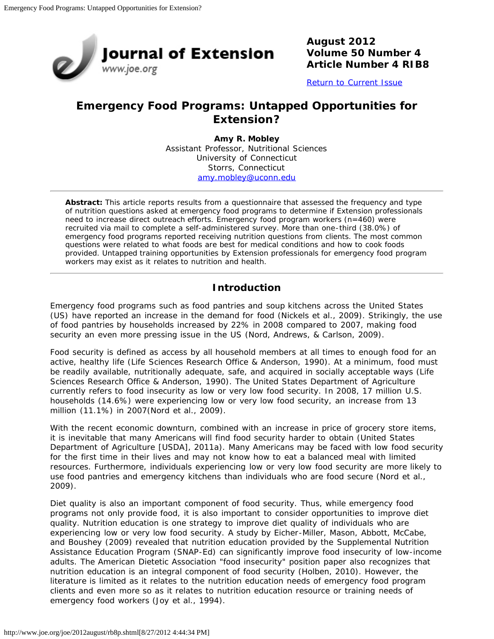

**August 2012 Volume 50 Number 4 Article Number 4 RIB8**

[Return to Current Issue](http://www.joe.org/joe/2012august/)

## **Emergency Food Programs: Untapped Opportunities for Extension?**

**Amy R. Mobley** Assistant Professor, Nutritional Sciences University of Connecticut Storrs, Connecticut [amy.mobley@uconn.edu](mailto:amy.mobley@uconn.edu)

*Abstract: This article reports results from a questionnaire that assessed the frequency and type of nutrition questions asked at emergency food programs to determine if Extension professionals need to increase direct outreach efforts. Emergency food program workers (n=460) were recruited via mail to complete a self-administered survey. More than one-third (38.0%) of emergency food programs reported receiving nutrition questions from clients. The most common questions were related to what foods are best for medical conditions and how to cook foods provided. Untapped training opportunities by Extension professionals for emergency food program workers may exist as it relates to nutrition and health.*

## **Introduction**

Emergency food programs such as food pantries and soup kitchens across the United States (US) have reported an increase in the demand for food (Nickels et al., 2009). Strikingly, the use of food pantries by households increased by 22% in 2008 compared to 2007, making food security an even more pressing issue in the US (Nord, Andrews, & Carlson, 2009).

Food security is defined as access by all household members at all times to enough food for an active, healthy life (Life Sciences Research Office & Anderson, 1990). At a minimum, food must be readily available, nutritionally adequate, safe, and acquired in socially acceptable ways (Life Sciences Research Office & Anderson, 1990). The United States Department of Agriculture currently refers to food insecurity as low or very low food security. In 2008, 17 million U.S. households (14.6%) were experiencing low or very low food security, an increase from 13 million (11.1%) in 2007(Nord et al., 2009).

With the recent economic downturn, combined with an increase in price of grocery store items, it is inevitable that many Americans will find food security harder to obtain (United States Department of Agriculture [USDA], 2011a). Many Americans may be faced with low food security for the first time in their lives and may not know how to eat a balanced meal with limited resources. Furthermore, individuals experiencing low or very low food security are more likely to use food pantries and emergency kitchens than individuals who are food secure (Nord et al., 2009).

Diet quality is also an important component of food security. Thus, while emergency food programs not only provide food, it is also important to consider opportunities to improve diet quality. Nutrition education is one strategy to improve diet quality of individuals who are experiencing low or very low food security. A study by Eicher-Miller, Mason, Abbott, McCabe, and Boushey (2009) revealed that nutrition education provided by the Supplemental Nutrition Assistance Education Program (SNAP-Ed) can significantly improve food insecurity of low-income adults. The American Dietetic Association "food insecurity" position paper also recognizes that nutrition education is an integral component of food security (Holben, 2010). However, the literature is limited as it relates to the nutrition education needs of emergency food program clients and even more so as it relates to nutrition education resource or training needs of emergency food workers (Joy et al., 1994).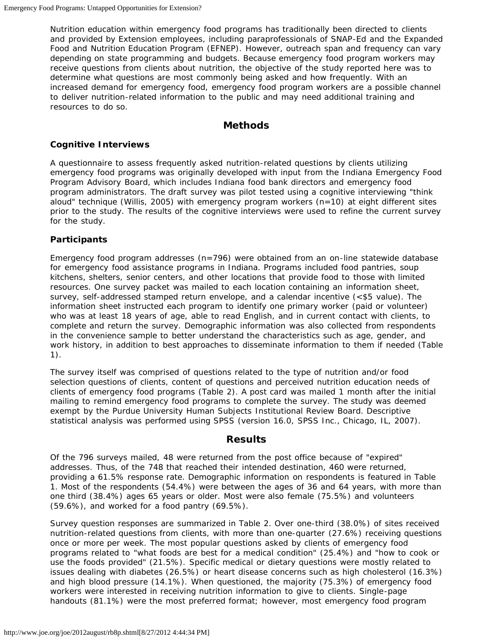Nutrition education within emergency food programs has traditionally been directed to clients and provided by Extension employees, including paraprofessionals of SNAP-Ed and the Expanded Food and Nutrition Education Program (EFNEP). However, outreach span and frequency can vary depending on state programming and budgets. Because emergency food program workers may receive questions from clients about nutrition, the objective of the study reported here was to determine what questions are most commonly being asked and how frequently. With an increased demand for emergency food, emergency food program workers are a possible channel to deliver nutrition-related information to the public and may need additional training and resources to do so.

#### **Methods**

#### **Cognitive Interviews**

A questionnaire to assess frequently asked nutrition-related questions by clients utilizing emergency food programs was originally developed with input from the Indiana Emergency Food Program Advisory Board, which includes Indiana food bank directors and emergency food program administrators. The draft survey was pilot tested using a cognitive interviewing "think aloud" technique (Willis, 2005) with emergency program workers (n=10) at eight different sites prior to the study. The results of the cognitive interviews were used to refine the current survey for the study.

#### **Participants**

Emergency food program addresses  $(n=796)$  were obtained from an on-line statewide database for emergency food assistance programs in Indiana. Programs included food pantries, soup kitchens, shelters, senior centers, and other locations that provide food to those with limited resources. One survey packet was mailed to each location containing an information sheet, survey, self-addressed stamped return envelope, and a calendar incentive (<\$5 value). The information sheet instructed each program to identify one primary worker (paid or volunteer) who was at least 18 years of age, able to read English, and in current contact with clients, to complete and return the survey. Demographic information was also collected from respondents in the convenience sample to better understand the characteristics such as age, gender, and work history, in addition to best approaches to disseminate information to them if needed (Table 1).

The survey itself was comprised of questions related to the type of nutrition and/or food selection questions of clients, content of questions and perceived nutrition education needs of clients of emergency food programs (Table 2). A post card was mailed 1 month after the initial mailing to remind emergency food programs to complete the survey. The study was deemed exempt by the Purdue University Human Subjects Institutional Review Board. Descriptive statistical analysis was performed using SPSS (version 16.0, SPSS Inc., Chicago, IL, 2007).

### **Results**

Of the 796 surveys mailed, 48 were returned from the post office because of "expired" addresses. Thus, of the 748 that reached their intended destination, 460 were returned, providing a 61.5% response rate. Demographic information on respondents is featured in Table 1. Most of the respondents (54.4%) were between the ages of 36 and 64 years, with more than one third (38.4%) ages 65 years or older. Most were also female (75.5%) and volunteers (59.6%), and worked for a food pantry (69.5%).

Survey question responses are summarized in Table 2. Over one-third (38.0%) of sites received nutrition-related questions from clients, with more than one-quarter (27.6%) receiving questions once or more per week. The most popular questions asked by clients of emergency food programs related to "what foods are best for a medical condition" (25.4%) and "how to cook or use the foods provided" (21.5%). Specific medical or dietary questions were mostly related to issues dealing with diabetes (26.5%) or heart disease concerns such as high cholesterol (16.3%) and high blood pressure (14.1%). When questioned, the majority (75.3%) of emergency food workers were interested in receiving nutrition information to give to clients. Single-page handouts (81.1%) were the most preferred format; however, most emergency food program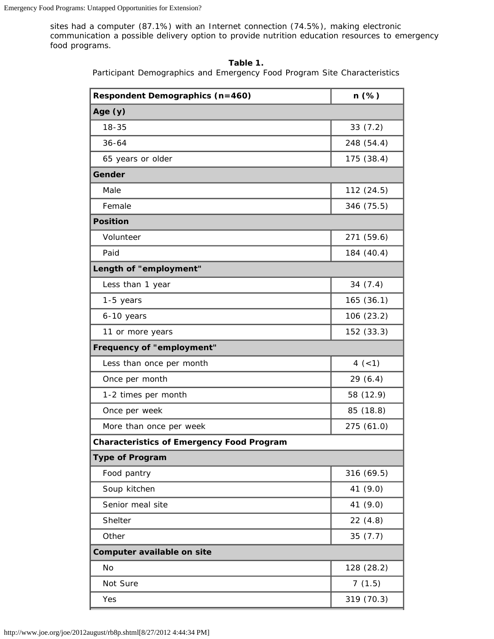sites had a computer (87.1%) with an Internet connection (74.5%), making electronic communication a possible delivery option to provide nutrition education resources to emergency food programs.

| Respondent Demographics (n=460)                  | n (%)      |  |
|--------------------------------------------------|------------|--|
| Age $(y)$                                        |            |  |
| $18 - 35$                                        | 33(7.2)    |  |
| $36 - 64$                                        | 248 (54.4) |  |
| 65 years or older                                | 175 (38.4) |  |
| Gender                                           |            |  |
| Male                                             | 112 (24.5) |  |
| Female                                           | 346 (75.5) |  |
| <b>Position</b>                                  |            |  |
| Volunteer                                        | 271 (59.6) |  |
| Paid                                             | 184 (40.4) |  |
| Length of "employment"                           |            |  |
| Less than 1 year                                 | 34(7.4)    |  |
| 1-5 years                                        | 165 (36.1) |  |
| 6-10 years                                       | 106 (23.2) |  |
| 11 or more years                                 | 152 (33.3) |  |
| <b>Frequency of "employment"</b>                 |            |  |
| Less than once per month                         | $4 (-1)$   |  |
| Once per month                                   | 29(6.4)    |  |
| 1-2 times per month                              | 58 (12.9)  |  |
| Once per week                                    | 85 (18.8)  |  |
| More than once per week                          | 275 (61.0) |  |
| <b>Characteristics of Emergency Food Program</b> |            |  |
| <b>Type of Program</b>                           |            |  |
| Food pantry                                      | 316 (69.5) |  |
| Soup kitchen                                     | 41 (9.0)   |  |
| Senior meal site                                 | 41 (9.0)   |  |
| Shelter                                          | 22(4.8)    |  |
| Other                                            | 35(7.7)    |  |
| Computer available on site                       |            |  |
| <b>No</b>                                        | 128 (28.2) |  |
| Not Sure                                         | 7(1.5)     |  |
| Yes                                              | 319 (70.3) |  |

| Table |  |
|-------|--|
|-------|--|

Participant Demographics and Emergency Food Program Site Characteristics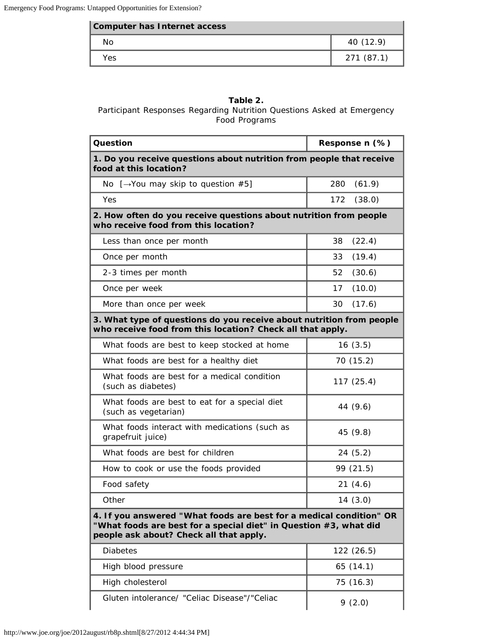| Computer has Internet access |            |
|------------------------------|------------|
| Nο                           | 40 (12.9)  |
| Yes                          | 271 (87.1) |

#### **Table 2.**

#### Participant Responses Regarding Nutrition Questions Asked at Emergency Food Programs

| Question                                                                                                                                                                            | Response n (%) |  |  |
|-------------------------------------------------------------------------------------------------------------------------------------------------------------------------------------|----------------|--|--|
| 1. Do you receive questions about nutrition from people that receive<br>food at this location?                                                                                      |                |  |  |
| No $[\rightarrow$ You may skip to question #5]                                                                                                                                      | (61.9)<br>280  |  |  |
| Yes                                                                                                                                                                                 | (38.0)<br>172  |  |  |
| 2. How often do you receive questions about nutrition from people<br>who receive food from this location?                                                                           |                |  |  |
| Less than once per month                                                                                                                                                            | 38<br>(22.4)   |  |  |
| Once per month                                                                                                                                                                      | (19.4)<br>33   |  |  |
| 2-3 times per month                                                                                                                                                                 | (30.6)<br>52   |  |  |
| Once per week                                                                                                                                                                       | 17<br>(10.0)   |  |  |
| More than once per week                                                                                                                                                             | (17.6)<br>30   |  |  |
| 3. What type of questions do you receive about nutrition from people<br>who receive food from this location? Check all that apply.                                                  |                |  |  |
| What foods are best to keep stocked at home                                                                                                                                         | 16(3.5)        |  |  |
| What foods are best for a healthy diet                                                                                                                                              | 70 (15.2)      |  |  |
| What foods are best for a medical condition<br>(such as diabetes)                                                                                                                   | 117(25.4)      |  |  |
| What foods are best to eat for a special diet<br>(such as vegetarian)                                                                                                               | 44 (9.6)       |  |  |
| What foods interact with medications (such as<br>grapefruit juice)                                                                                                                  | 45 (9.8)       |  |  |
| What foods are best for children                                                                                                                                                    | 24(5.2)        |  |  |
| How to cook or use the foods provided                                                                                                                                               | 99 (21.5)      |  |  |
| Food safety                                                                                                                                                                         | 21(4.6)        |  |  |
| Other                                                                                                                                                                               | 14 (3.0)       |  |  |
| 4. If you answered "What foods are best for a medical condition" OR<br>"What foods are best for a special diet" in Question #3, what did<br>people ask about? Check all that apply. |                |  |  |
| <b>Diabetes</b>                                                                                                                                                                     | 122 (26.5)     |  |  |
| High blood pressure                                                                                                                                                                 | 65(14.1)       |  |  |
| High cholesterol                                                                                                                                                                    | 75 (16.3)      |  |  |
| Gluten intolerance/ "Celiac Disease"/"Celiac                                                                                                                                        | 9(2.0)         |  |  |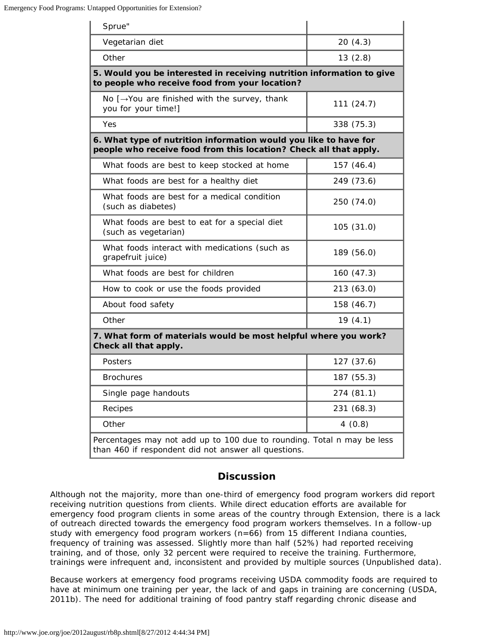| Sprue"                                                                                                                                |            |  |  |  |
|---------------------------------------------------------------------------------------------------------------------------------------|------------|--|--|--|
| Vegetarian diet                                                                                                                       | 20(4.3)    |  |  |  |
| Other                                                                                                                                 | 13(2.8)    |  |  |  |
| 5. Would you be interested in receiving nutrition information to give<br>to people who receive food from your location?               |            |  |  |  |
| No $[\rightarrow$ You are finished with the survey, thank<br>you for your time!]                                                      | 111(24.7)  |  |  |  |
| Yes                                                                                                                                   | 338 (75.3) |  |  |  |
| 6. What type of nutrition information would you like to have for<br>people who receive food from this location? Check all that apply. |            |  |  |  |
| What foods are best to keep stocked at home                                                                                           | 157 (46.4) |  |  |  |
| What foods are best for a healthy diet                                                                                                | 249 (73.6) |  |  |  |
| What foods are best for a medical condition<br>(such as diabetes)                                                                     | 250 (74.0) |  |  |  |
| What foods are best to eat for a special diet<br>(such as vegetarian)                                                                 | 105 (31.0) |  |  |  |
| What foods interact with medications (such as<br>grapefruit juice)                                                                    | 189 (56.0) |  |  |  |
| What foods are best for children                                                                                                      | 160 (47.3) |  |  |  |
| How to cook or use the foods provided                                                                                                 | 213 (63.0) |  |  |  |
| About food safety                                                                                                                     | 158 (46.7) |  |  |  |
| Other                                                                                                                                 | 19(4.1)    |  |  |  |
| 7. What form of materials would be most helpful where you work?<br>Check all that apply.                                              |            |  |  |  |
| Posters                                                                                                                               | 127 (37.6) |  |  |  |
| Brochures                                                                                                                             | 187 (55.3) |  |  |  |
| Single page handouts                                                                                                                  | 274 (81.1) |  |  |  |
| Recipes                                                                                                                               | 231 (68.3) |  |  |  |
| Other                                                                                                                                 | 4(0.8)     |  |  |  |
| Percentages may not add up to 100 due to rounding. Total n may be less<br>than 460 if respondent did not answer all questions.        |            |  |  |  |

#### **Discussion**

Although not the majority, more than one-third of emergency food program workers did report receiving nutrition questions from clients. While direct education efforts are available for emergency food program clients in some areas of the country through Extension, there is a lack of outreach directed towards the emergency food program workers themselves. In a follow-up study with emergency food program workers ( $n=66$ ) from 15 different Indiana counties, frequency of training was assessed. Slightly more than half (52%) had reported receiving training, and of those, only 32 percent were required to receive the training. Furthermore, trainings were infrequent and, inconsistent and provided by multiple sources (Unpublished data).

Because workers at emergency food programs receiving USDA commodity foods are required to have at minimum one training per year, the lack of and gaps in training are concerning (USDA, 2011b). The need for additional training of food pantry staff regarding chronic disease and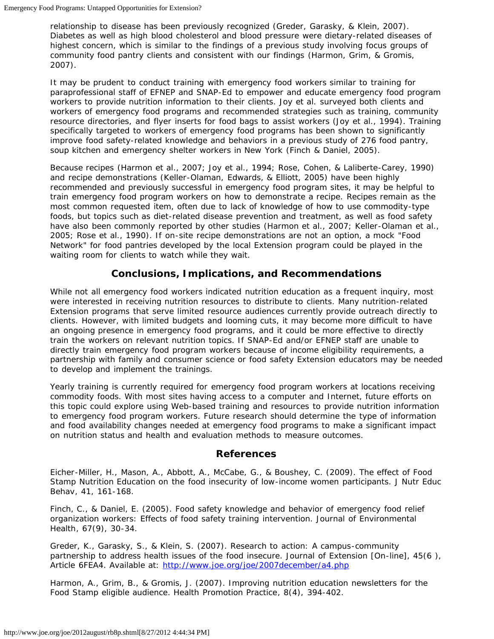relationship to disease has been previously recognized (Greder, Garasky, & Klein, 2007). Diabetes as well as high blood cholesterol and blood pressure were dietary-related diseases of highest concern, which is similar to the findings of a previous study involving focus groups of community food pantry clients and consistent with our findings (Harmon, Grim, & Gromis, 2007).

It may be prudent to conduct training with emergency food workers similar to training for paraprofessional staff of EFNEP and SNAP-Ed to empower and educate emergency food program workers to provide nutrition information to their clients. Joy et al. surveyed both clients and workers of emergency food programs and recommended strategies such as training, community resource directories, and flyer inserts for food bags to assist workers (Joy et al., 1994). Training specifically targeted to workers of emergency food programs has been shown to significantly improve food safety-related knowledge and behaviors in a previous study of 276 food pantry, soup kitchen and emergency shelter workers in New York (Finch & Daniel, 2005).

Because recipes (Harmon et al., 2007; Joy et al., 1994; Rose, Cohen, & Laliberte-Carey, 1990) and recipe demonstrations (Keller-Olaman, Edwards, & Elliott, 2005) have been highly recommended and previously successful in emergency food program sites, it may be helpful to train emergency food program workers on how to demonstrate a recipe. Recipes remain as the most common requested item, often due to lack of knowledge of how to use commodity-type foods, but topics such as diet-related disease prevention and treatment, as well as food safety have also been commonly reported by other studies (Harmon et al., 2007; Keller-Olaman et al., 2005; Rose et al., 1990). If on-site recipe demonstrations are not an option, a mock "Food Network" for food pantries developed by the local Extension program could be played in the waiting room for clients to watch while they wait.

### **Conclusions, Implications, and Recommendations**

While not all emergency food workers indicated nutrition education as a frequent inquiry, most were interested in receiving nutrition resources to distribute to clients. Many nutrition-related Extension programs that serve limited resource audiences currently provide outreach directly to clients. However, with limited budgets and looming cuts, it may become more difficult to have an ongoing presence in emergency food programs, and it could be more effective to directly train the workers on relevant nutrition topics. If SNAP-Ed and/or EFNEP staff are unable to directly train emergency food program workers because of income eligibility requirements, a partnership with family and consumer science or food safety Extension educators may be needed to develop and implement the trainings.

Yearly training is currently required for emergency food program workers at locations receiving commodity foods. With most sites having access to a computer and Internet, future efforts on this topic could explore using Web-based training and resources to provide nutrition information to emergency food program workers. Future research should determine the type of information and food availability changes needed at emergency food programs to make a significant impact on nutrition status and health and evaluation methods to measure outcomes.

#### **References**

Eicher-Miller, H., Mason, A., Abbott, A., McCabe, G., & Boushey, C. (2009). The effect of Food Stamp Nutrition Education on the food insecurity of low-income women participants. *J Nutr Educ Behav*, 41, 161-168.

Finch, C., & Daniel, E. (2005). Food safety knowledge and behavior of emergency food relief organization workers: Effects of food safety training intervention. *Journal of Environmental Health*, 67(9), 30-34.

Greder, K., Garasky, S., & Klein, S. (2007). Research to action: A campus-community partnership to address health issues of the food insecure. *Journal of Extension* [On-line], 45(6 ), Article 6FEA4. Available at: <http://www.joe.org/joe/2007december/a4.php>

Harmon, A., Grim, B., & Gromis, J. (2007). Improving nutrition education newsletters for the Food Stamp eligible audience. *Health Promotion Practice*, 8(4), 394-402.